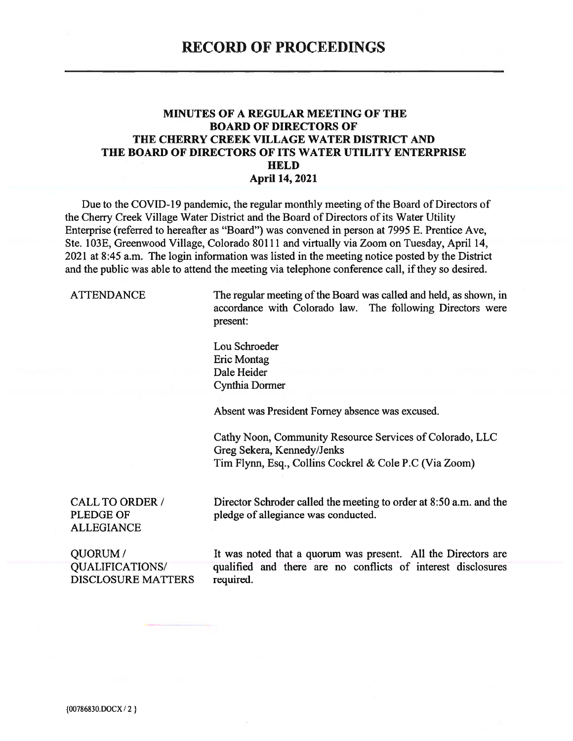#### **MINUTES OF A REGULAR MEETING OF THE BOARD OF DIRECTORS OF** THE CHERRY CREEK VILLAGE WATER DISTRICT AND THE BOARD OF DIRECTORS OF ITS WATER UTILITY ENTERPRISE **HELD April 14, 2021**

Due to the COVID-19 pandemic, the regular monthly meeting of the Board of Directors of the Cherry Creek Village Water District and the Board of Directors of its Water Utility Enterprise (referred to hereafter as "Board") was convened in person at 7995 E. Prentice Ave, Ste. 103E, Greenwood Village, Colorado 80111 and virtually via Zoom on Tuesday, April 14, 2021 at 8:45 a.m. The login information was listed in the meeting notice posted by the District and the public was able to attend the meeting via telephone conference call, if they so desired.

**ATTENDANCE** 

The regular meeting of the Board was called and held, as shown, in accordance with Colorado law. The following Directors were present:

Lou Schroeder **Eric Montag** Dale Heider Cynthia Dormer

Absent was President Forney absence was excused.

Cathy Noon, Community Resource Services of Colorado, LLC Greg Sekera, Kennedy/Jenks Tim Flynn, Esq., Collins Cockrel & Cole P.C (Via Zoom)

**CALL TO ORDER / PLEDGE OF ALLEGIANCE** 

Director Schroder called the meeting to order at 8:50 a.m. and the pledge of allegiance was conducted.

QUORUM/ **QUALIFICATIONS/ DISCLOSURE MATTERS** 

It was noted that a quorum was present. All the Directors are qualified and there are no conflicts of interest disclosures required.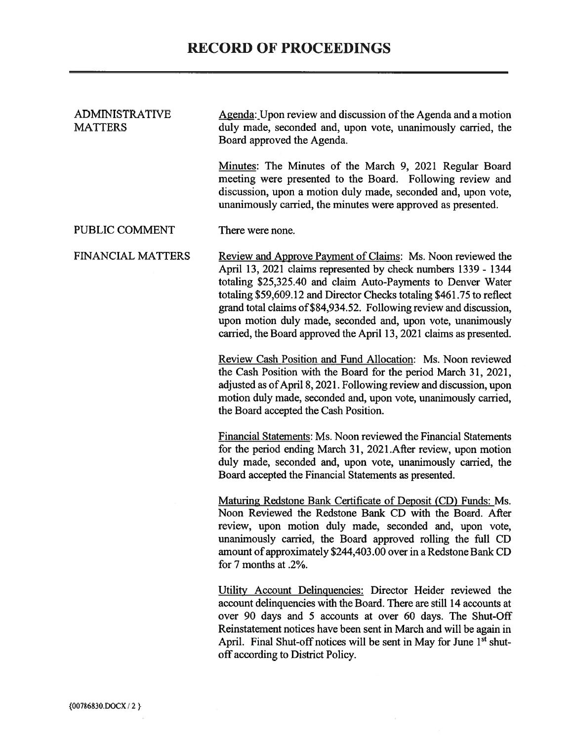| <b>ADMINISTRATIVE</b><br><b>MATTERS</b> | Agenda: Upon review and discussion of the Agenda and a motion<br>duly made, seconded and, upon vote, unanimously carried, the<br>Board approved the Agenda.                                                                                                                                                                                                                                                                                                                         |  |  |  |
|-----------------------------------------|-------------------------------------------------------------------------------------------------------------------------------------------------------------------------------------------------------------------------------------------------------------------------------------------------------------------------------------------------------------------------------------------------------------------------------------------------------------------------------------|--|--|--|
|                                         | Minutes: The Minutes of the March 9, 2021 Regular Board<br>meeting were presented to the Board. Following review and<br>discussion, upon a motion duly made, seconded and, upon vote,<br>unanimously carried, the minutes were approved as presented.                                                                                                                                                                                                                               |  |  |  |
| PUBLIC COMMENT                          | There were none.                                                                                                                                                                                                                                                                                                                                                                                                                                                                    |  |  |  |
| <b>FINANCIAL MATTERS</b>                | Review and Approve Payment of Claims: Ms. Noon reviewed the<br>April 13, 2021 claims represented by check numbers 1339 - 1344<br>totaling \$25,325.40 and claim Auto-Payments to Denver Water<br>totaling \$59,609.12 and Director Checks totaling \$461.75 to reflect<br>grand total claims of \$84,934.52. Following review and discussion,<br>upon motion duly made, seconded and, upon vote, unanimously<br>carried, the Board approved the April 13, 2021 claims as presented. |  |  |  |
|                                         | Review Cash Position and Fund Allocation: Ms. Noon reviewed<br>the Cash Position with the Board for the period March 31, 2021,<br>adjusted as of April 8, 2021. Following review and discussion, upon<br>motion duly made, seconded and, upon vote, unanimously carried,<br>the Board accepted the Cash Position.                                                                                                                                                                   |  |  |  |
|                                         | Financial Statements: Ms. Noon reviewed the Financial Statements<br>for the period ending March 31, 2021. After review, upon motion<br>duly made, seconded and, upon vote, unanimously carried, the<br>Board accepted the Financial Statements as presented.                                                                                                                                                                                                                        |  |  |  |
|                                         | Maturing Redstone Bank Certificate of Deposit (CD) Funds: Ms.<br>Noon Reviewed the Redstone Bank CD with the Board. After<br>review, upon motion duly made, seconded and, upon vote,<br>unanimously carried, the Board approved rolling the full CD<br>amount of approximately \$244,403.00 over in a Redstone Bank CD<br>for 7 months at .2%.                                                                                                                                      |  |  |  |
|                                         | Utility Account Delinquencies: Director Heider reviewed the<br>account delinquencies with the Board. There are still 14 accounts at<br>over 90 days and 5 accounts at over 60 days. The Shut-Off<br>Reinstatement notices have been sent in March and will be again in<br>April. Final Shut-off notices will be sent in May for June 1 <sup>st</sup> shut-<br>off according to District Policy.                                                                                     |  |  |  |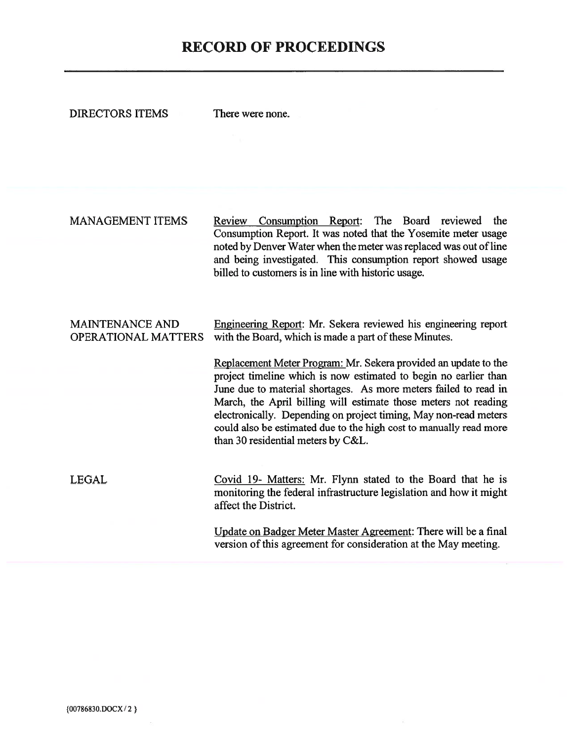# **RECORD OF PROCEEDINGS**

**DIRECTORS ITEMS** There were none.

**MANAGEMENT ITEMS** Review Consumption Report: The Board reviewed the Consumption Report. It was noted that the Yosemite meter usage noted by Denver Water when the meter was replaced was out of line and being investigated. This consumption report showed usage billed to customers is in line with historic usage.

#### Engineering Report: Mr. Sekera reviewed his engineering report **MAINTENANCE AND OPERATIONAL MATTERS** with the Board, which is made a part of these Minutes.

Replacement Meter Program: Mr. Sekera provided an update to the project timeline which is now estimated to begin no earlier than June due to material shortages. As more meters failed to read in March, the April billing will estimate those meters not reading electronically. Depending on project timing, May non-read meters could also be estimated due to the high cost to manually read more than 30 residential meters by C&L.

**LEGAL** Covid 19- Matters: Mr. Flynn stated to the Board that he is monitoring the federal infrastructure legislation and how it might affect the District.

> Update on Badger Meter Master Agreement: There will be a final version of this agreement for consideration at the May meeting.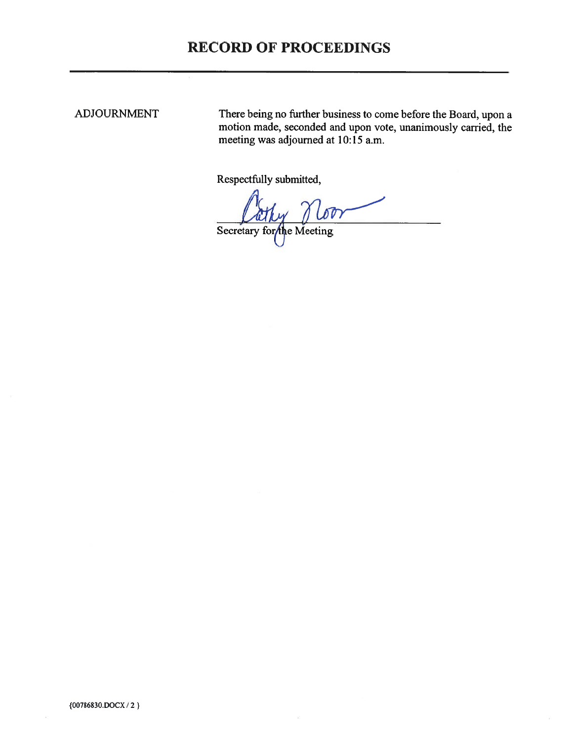# **RECORD OF PROCEEDINGS**

### **ADJOURNMENT**

There being no further business to come before the Board, upon a motion made, seconded and upon vote, unanimously carried, the meeting was adjourned at 10:15 a.m.

Respectfully submitted,

 $\sqrt{DT}$ Secretary for the Meeting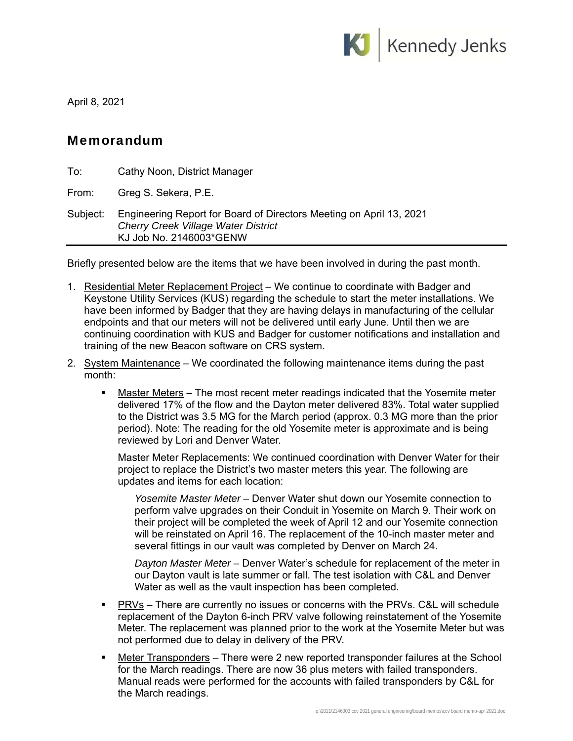

April 8, 2021

## Memorandum

| To:      | Cathy Noon, District Manager                                                                                                                 |
|----------|----------------------------------------------------------------------------------------------------------------------------------------------|
| From:    | Greg S. Sekera, P.E.                                                                                                                         |
| Subject: | Engineering Report for Board of Directors Meeting on April 13, 2021<br><b>Cherry Creek Village Water District</b><br>KJ Job No. 2146003*GENW |

Briefly presented below are the items that we have been involved in during the past month.

- 1. Residential Meter Replacement Project We continue to coordinate with Badger and Keystone Utility Services (KUS) regarding the schedule to start the meter installations. We have been informed by Badger that they are having delays in manufacturing of the cellular endpoints and that our meters will not be delivered until early June. Until then we are continuing coordination with KUS and Badger for customer notifications and installation and training of the new Beacon software on CRS system.
- 2. System Maintenance We coordinated the following maintenance items during the past month:
	- Master Meters The most recent meter readings indicated that the Yosemite meter delivered 17% of the flow and the Dayton meter delivered 83%. Total water supplied to the District was 3.5 MG for the March period (approx. 0.3 MG more than the prior period). Note: The reading for the old Yosemite meter is approximate and is being reviewed by Lori and Denver Water.

Master Meter Replacements: We continued coordination with Denver Water for their project to replace the District's two master meters this year. The following are updates and items for each location:

*Yosemite Master Meter* – Denver Water shut down our Yosemite connection to perform valve upgrades on their Conduit in Yosemite on March 9. Their work on their project will be completed the week of April 12 and our Yosemite connection will be reinstated on April 16. The replacement of the 10-inch master meter and several fittings in our vault was completed by Denver on March 24.

*Dayton Master Meter* – Denver Water's schedule for replacement of the meter in our Dayton vault is late summer or fall. The test isolation with C&L and Denver Water as well as the vault inspection has been completed.

- PRVs There are currently no issues or concerns with the PRVs. C&L will schedule replacement of the Dayton 6-inch PRV valve following reinstatement of the Yosemite Meter. The replacement was planned prior to the work at the Yosemite Meter but was not performed due to delay in delivery of the PRV.
- **Meter Transponders** There were 2 new reported transponder failures at the School for the March readings. There are now 36 plus meters with failed transponders. Manual reads were performed for the accounts with failed transponders by C&L for the March readings.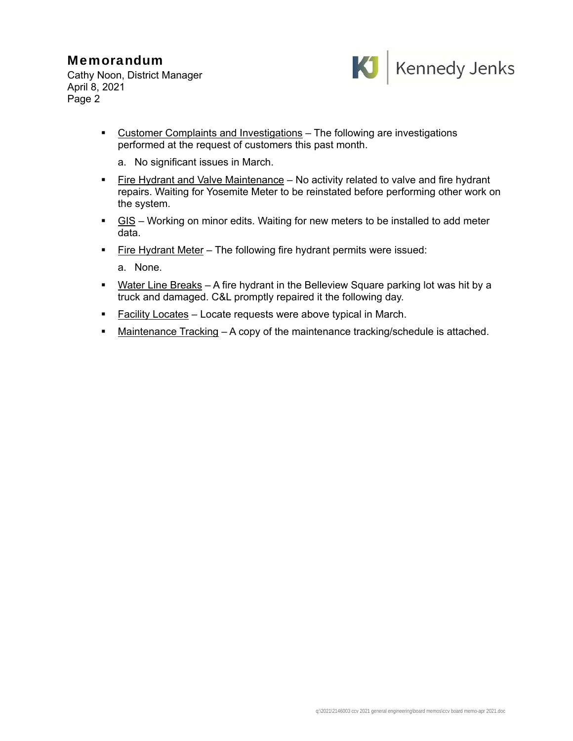## Memorandum

Cathy Noon, District Manager April 8, 2021 Page 2



- Customer Complaints and Investigations The following are investigations performed at the request of customers this past month.
	- a. No significant issues in March.
- Fire Hydrant and Valve Maintenance No activity related to valve and fire hydrant repairs. Waiting for Yosemite Meter to be reinstated before performing other work on the system.
- $\blacksquare$  GIS Working on minor edits. Waiting for new meters to be installed to add meter data.
- **Fire Hydrant Meter** The following fire hydrant permits were issued:

a. None.

- **Water Line Breaks** A fire hydrant in the Belleview Square parking lot was hit by a truck and damaged. C&L promptly repaired it the following day.
- **Facility Locates Locate requests were above typical in March.**
- Maintenance Tracking A copy of the maintenance tracking/schedule is attached.